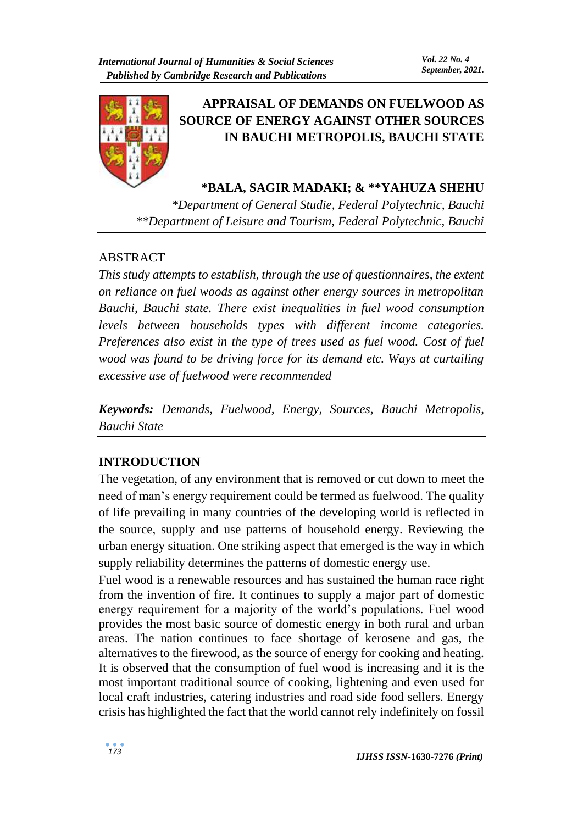

# **APPRAISAL OF DEMANDS ON FUELWOOD AS SOURCE OF ENERGY AGAINST OTHER SOURCES IN BAUCHI METROPOLIS, BAUCHI STATE**

**\*BALA, SAGIR MADAKI; & \*\*YAHUZA SHEHU** 

*\*Department of General Studie, Federal Polytechnic, Bauchi \*\*Department of Leisure and Tourism, Federal Polytechnic, Bauchi*

# ABSTRACT

*This study attempts to establish, through the use of questionnaires, the extent on reliance on fuel woods as against other energy sources in metropolitan Bauchi, Bauchi state. There exist inequalities in fuel wood consumption levels between households types with different income categories. Preferences also exist in the type of trees used as fuel wood. Cost of fuel wood was found to be driving force for its demand etc. Ways at curtailing excessive use of fuelwood were recommended* 

*Keywords: Demands, Fuelwood, Energy, Sources, Bauchi Metropolis, Bauchi State*

# **INTRODUCTION**

The vegetation, of any environment that is removed or cut down to meet the need of man's energy requirement could be termed as fuelwood. The quality of life prevailing in many countries of the developing world is reflected in the source, supply and use patterns of household energy. Reviewing the urban energy situation. One striking aspect that emerged is the way in which supply reliability determines the patterns of domestic energy use.

Fuel wood is a renewable resources and has sustained the human race right from the invention of fire. It continues to supply a major part of domestic energy requirement for a majority of the world's populations. Fuel wood provides the most basic source of domestic energy in both rural and urban areas. The nation continues to face shortage of kerosene and gas, the alternatives to the firewood, as the source of energy for cooking and heating. It is observed that the consumption of fuel wood is increasing and it is the most important traditional source of cooking, lightening and even used for local craft industries, catering industries and road side food sellers. Energy crisis has highlighted the fact that the world cannot rely indefinitely on fossil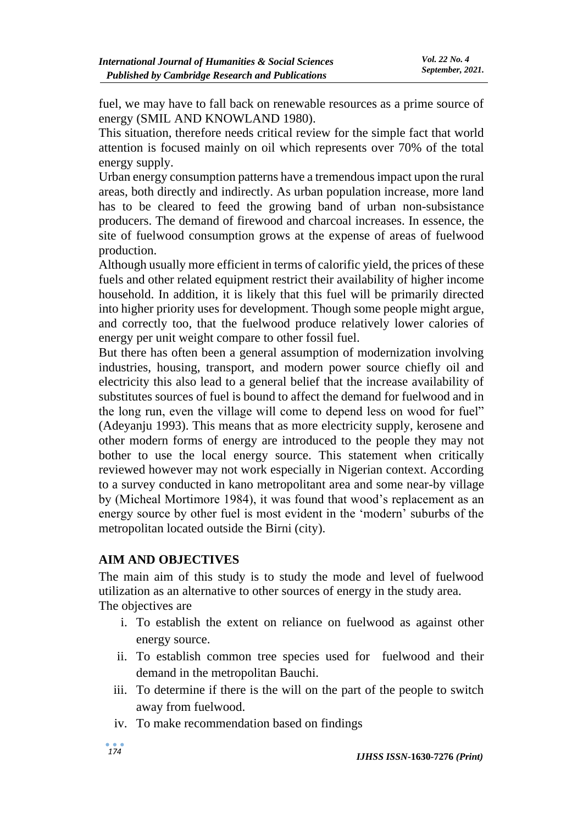fuel, we may have to fall back on renewable resources as a prime source of energy (SMIL AND KNOWLAND 1980).

This situation, therefore needs critical review for the simple fact that world attention is focused mainly on oil which represents over 70% of the total energy supply.

Urban energy consumption patterns have a tremendous impact upon the rural areas, both directly and indirectly. As urban population increase, more land has to be cleared to feed the growing band of urban non-subsistance producers. The demand of firewood and charcoal increases. In essence, the site of fuelwood consumption grows at the expense of areas of fuelwood production.

Although usually more efficient in terms of calorific yield, the prices of these fuels and other related equipment restrict their availability of higher income household. In addition, it is likely that this fuel will be primarily directed into higher priority uses for development. Though some people might argue, and correctly too, that the fuelwood produce relatively lower calories of energy per unit weight compare to other fossil fuel.

But there has often been a general assumption of modernization involving industries, housing, transport, and modern power source chiefly oil and electricity this also lead to a general belief that the increase availability of substitutes sources of fuel is bound to affect the demand for fuelwood and in the long run, even the village will come to depend less on wood for fuel" (Adeyanju 1993). This means that as more electricity supply, kerosene and other modern forms of energy are introduced to the people they may not bother to use the local energy source. This statement when critically reviewed however may not work especially in Nigerian context. According to a survey conducted in kano metropolitant area and some near-by village by (Micheal Mortimore 1984), it was found that wood's replacement as an energy source by other fuel is most evident in the 'modern' suburbs of the metropolitan located outside the Birni (city).

## **AIM AND OBJECTIVES**

The main aim of this study is to study the mode and level of fuelwood utilization as an alternative to other sources of energy in the study area. The objectives are

- i. To establish the extent on reliance on fuelwood as against other energy source.
- ii. To establish common tree species used for fuelwood and their demand in the metropolitan Bauchi.
- iii. To determine if there is the will on the part of the people to switch away from fuelwood.
- iv. To make recommendation based on findings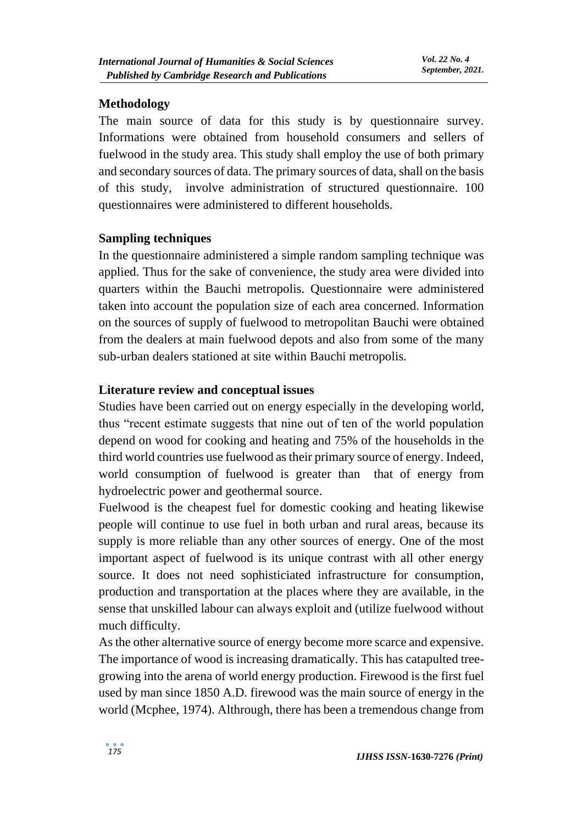## **Methodology**

The main source of data for this study is by questionnaire survey. Informations were obtained from household consumers and sellers of fuelwood in the study area. This study shall employ the use of both primary and secondary sources of data. The primary sources of data, shall on the basis of this study, involve administration of structured questionnaire. 100 questionnaires were administered to different households.

## **Sampling techniques**

In the questionnaire administered a simple random sampling technique was applied. Thus for the sake of convenience, the study area were divided into quarters within the Bauchi metropolis. Questionnaire were administered taken into account the population size of each area concerned. Information on the sources of supply of fuelwood to metropolitan Bauchi were obtained from the dealers at main fuelwood depots and also from some of the many sub-urban dealers stationed at site within Bauchi metropolis.

## **Literature review and conceptual issues**

Studies have been carried out on energy especially in the developing world, thus "recent estimate suggests that nine out of ten of the world population depend on wood for cooking and heating and 75% of the households in the third world countries use fuelwood as their primary source of energy. Indeed, world consumption of fuelwood is greater than that of energy from hydroelectric power and geothermal source.

Fuelwood is the cheapest fuel for domestic cooking and heating likewise people will continue to use fuel in both urban and rural areas, because its supply is more reliable than any other sources of energy. One of the most important aspect of fuelwood is its unique contrast with all other energy source. It does not need sophisticiated infrastructure for consumption, production and transportation at the places where they are available, in the sense that unskilled labour can always exploit and (utilize fuelwood without much difficulty.

As the other alternative source of energy become more scarce and expensive. The importance of wood is increasing dramatically. This has catapulted treegrowing into the arena of world energy production. Firewood is the first fuel used by man since 1850 A.D. firewood was the main source of energy in the world (Mcphee, 1974). Althrough, there has been a tremendous change from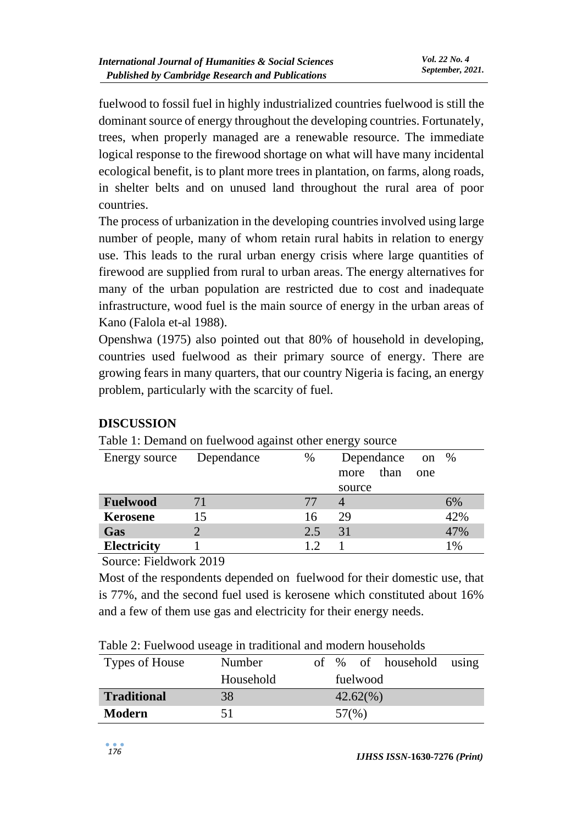fuelwood to fossil fuel in highly industrialized countries fuelwood is still the dominant source of energy throughout the developing countries. Fortunately, trees, when properly managed are a renewable resource. The immediate logical response to the firewood shortage on what will have many incidental ecological benefit, is to plant more trees in plantation, on farms, along roads, in shelter belts and on unused land throughout the rural area of poor countries.

The process of urbanization in the developing countries involved using large number of people, many of whom retain rural habits in relation to energy use. This leads to the rural urban energy crisis where large quantities of firewood are supplied from rural to urban areas. The energy alternatives for many of the urban population are restricted due to cost and inadequate infrastructure, wood fuel is the main source of energy in the urban areas of Kano (Falola et-al 1988).

Openshwa (1975) also pointed out that 80% of household in developing, countries used fuelwood as their primary source of energy. There are growing fears in many quarters, that our country Nigeria is facing, an energy problem, particularly with the scarcity of fuel.

| Table 1. Demand on fuerwood against other energy source |      |              |     |      |
|---------------------------------------------------------|------|--------------|-----|------|
| Dependance                                              | $\%$ | Dependance   |     |      |
|                                                         |      | than<br>more | one |      |
|                                                         |      | source       |     |      |
| 71                                                      |      |              |     | 6%   |
| 15                                                      | 16   | 29           |     | 42%  |
|                                                         | 2.5  | 31           |     | 47%  |
|                                                         | 1.2  |              |     | 1%   |
|                                                         |      |              |     | on % |

## **DISCUSSION**

Table 1: Demand on fuelwood against other energy source

Source: Fieldwork 2019

Most of the respondents depended on fuelwood for their domestic use, that is 77%, and the second fuel used is kerosene which constituted about 16% and a few of them use gas and electricity for their energy needs.

| Table 2: Fuelwood useage in traditional and modern households |  |  |  |
|---------------------------------------------------------------|--|--|--|
|                                                               |  |  |  |
|                                                               |  |  |  |
|                                                               |  |  |  |

| Types of House     | Number    |       |             | of % of household using |  |
|--------------------|-----------|-------|-------------|-------------------------|--|
|                    | Household |       | fuelwood    |                         |  |
| <b>Traditional</b> | 38        |       | $42.62(\%)$ |                         |  |
| <b>Modern</b>      | 51        | 57(%) |             |                         |  |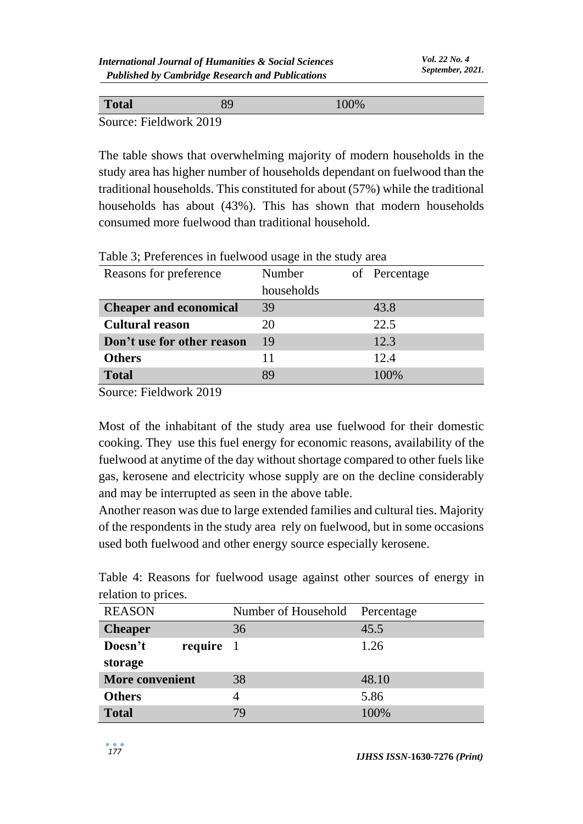| <b>Total</b>           | 00% |  |
|------------------------|-----|--|
| Source: Fieldwork 2019 |     |  |

The table shows that overwhelming majority of modern households in the study area has higher number of households dependant on fuelwood than the traditional households. This constituted for about (57%) while the traditional households has about (43%). This has shown that modern households consumed more fuelwood than traditional household.

| Reasons for preference        | Number     | of Percentage |
|-------------------------------|------------|---------------|
|                               | households |               |
| <b>Cheaper and economical</b> | 39         | 43.8          |
| <b>Cultural reason</b>        | 20         | 22.5          |
| Don't use for other reason    | 19         | 12.3          |
| <b>Others</b>                 | 11         | 12.4          |
| <b>Total</b>                  | 89         | 100%          |

Table 3; Preferences in fuelwood usage in the study area

Source: Fieldwork 2019

Most of the inhabitant of the study area use fuelwood for their domestic cooking. They use this fuel energy for economic reasons, availability of the fuelwood at anytime of the day without shortage compared to other fuels like gas, kerosene and electricity whose supply are on the decline considerably and may be interrupted as seen in the above table.

Another reason was due to large extended families and cultural ties. Majority of the respondents in the study area rely on fuelwood, but in some occasions used both fuelwood and other energy source especially kerosene.

Table 4: Reasons for fuelwood usage against other sources of energy in relation to prices.

| <b>REASON</b>          | Number of Household | Percentage |
|------------------------|---------------------|------------|
| <b>Cheaper</b>         | 36                  | 45.5       |
| Doesn't<br>require 1   |                     | 1.26       |
| storage                |                     |            |
| <b>More convenient</b> | 38                  | 48.10      |
| <b>Others</b>          | 4                   | 5.86       |
| <b>Total</b>           | 79                  | 100%       |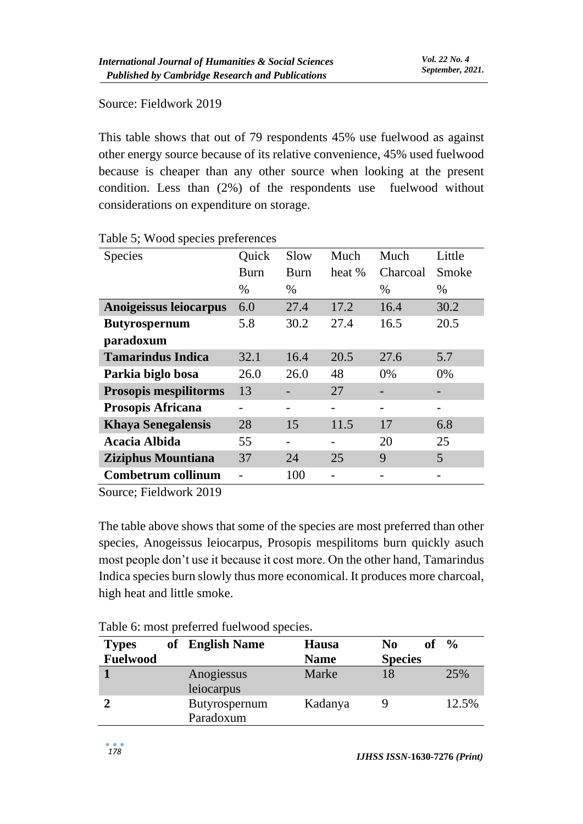### Source: Fieldwork 2019

This table shows that out of 79 respondents 45% use fuelwood as against other energy source because of its relative convenience, 45% used fuelwood because is cheaper than any other source when looking at the present condition. Less than (2%) of the respondents use fuelwood without considerations on expenditure on storage.

| Species                      | Quick | Slow | Much   | Much     | Little |
|------------------------------|-------|------|--------|----------|--------|
|                              | Burn  | Burn | heat % | Charcoal | Smoke  |
|                              | $\%$  | $\%$ |        | $\%$     | $\%$   |
| Anoigeissus leiocarpus       | 6.0   | 27.4 | 17.2   | 16.4     | 30.2   |
| <b>Butyrospernum</b>         | 5.8   | 30.2 | 27.4   | 16.5     | 20.5   |
| paradoxum                    |       |      |        |          |        |
| <b>Tamarindus Indica</b>     | 32.1  | 16.4 | 20.5   | 27.6     | 5.7    |
| Parkia biglo bosa            | 26.0  | 26.0 | 48     | $0\%$    | 0%     |
| <b>Prosopis mespilitorms</b> | 13    |      | 27     |          |        |
| <b>Prosopis Africana</b>     |       |      |        |          |        |
| <b>Khaya Senegalensis</b>    | 28    | 15   | 11.5   | 17       | 6.8    |
| <b>Acacia Albida</b>         | 55    |      |        | 20       | 25     |
| <b>Ziziphus Mountiana</b>    | 37    | 24   | 25     | 9        | 5      |
| <b>Combetrum collinum</b>    |       | 100  |        |          |        |

#### Table 5; Wood species preferences

Source; Fieldwork 2019

The table above shows that some of the species are most preferred than other species, Anogeissus leiocarpus, Prosopis mespilitoms burn quickly asuch most people don't use it because it cost more. On the other hand, Tamarindus Indica species burn slowly thus more economical. It produces more charcoal, high heat and little smoke.

| <b>Types</b>    | of English Name            | Hausa       | No             | $\frac{6}{6}$ |
|-----------------|----------------------------|-------------|----------------|---------------|
| <b>Fuelwood</b> |                            | <b>Name</b> | <b>Species</b> |               |
|                 | Anogiessus<br>leiocarpus   | Marke       | 18             | 25%           |
|                 | Butyrospernum<br>Paradoxum | Kadanya     |                | 12.5%         |

Table 6: most preferred fuelwood species.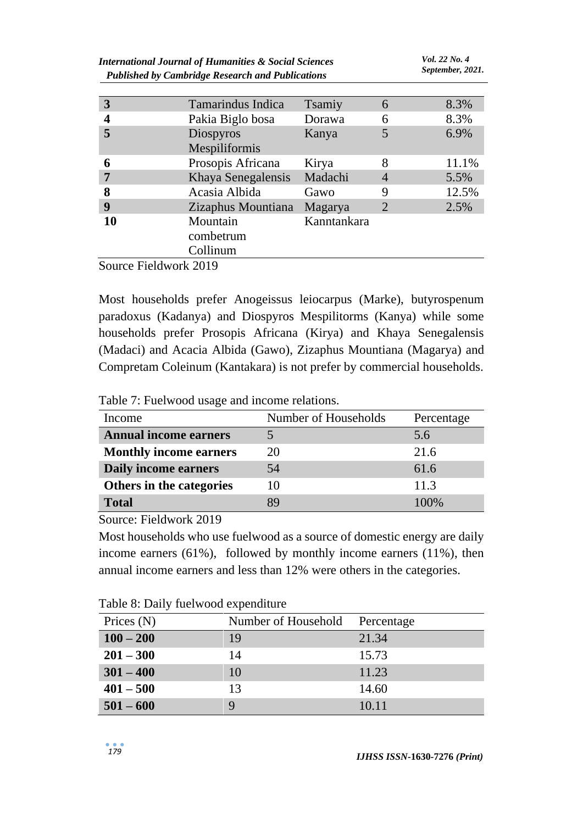| <b>International Journal of Humanities &amp; Social Sciences</b><br><b>Published by Cambridge Research and Publications</b> | Vol. 22 No. 4<br>September, 2021. |                         |        |       |
|-----------------------------------------------------------------------------------------------------------------------------|-----------------------------------|-------------------------|--------|-------|
| 3                                                                                                                           | <b>Tamarindus Indica</b>          |                         |        | 8.3%  |
| 4                                                                                                                           | Pakia Biglo bosa                  | <b>Tsamiy</b><br>Dorawa | 6<br>6 | 8.3%  |
| 5                                                                                                                           | Diospyros<br>Mespiliformis        | Kanya                   |        | 6.9%  |
| 6                                                                                                                           | Prosopis Africana                 | Kirya                   | 8      | 11.1% |
| 7                                                                                                                           | Khaya Senegalensis                | Madachi                 |        | 5.5%  |
| 8                                                                                                                           | Acasia Albida                     | Gawo                    | 9      | 12.5% |
| 9                                                                                                                           | Zizaphus Mountiana                | Magarya                 | 2      | 2.5%  |
| 10                                                                                                                          | Mountain<br>combetrum<br>Collinum | Kanntankara             |        |       |

Source Fieldwork 2019

Most households prefer Anogeissus leiocarpus (Marke), butyrospenum paradoxus (Kadanya) and Diospyros Mespilitorms (Kanya) while some households prefer Prosopis Africana (Kirya) and Khaya Senegalensis (Madaci) and Acacia Albida (Gawo), Zizaphus Mountiana (Magarya) and Compretam Coleinum (Kantakara) is not prefer by commercial households.

Table 7: Fuelwood usage and income relations.

| Income                        | Number of Households | Percentage |
|-------------------------------|----------------------|------------|
| <b>Annual income earners</b>  |                      | 5.6        |
| <b>Monthly income earners</b> | 20                   | 21.6       |
| Daily income earners          | 54                   | 61.6       |
| Others in the categories      | 10                   | 11.3       |
| <b>Total</b>                  | 89                   | 100\%      |

Source: Fieldwork 2019

Most households who use fuelwood as a source of domestic energy are daily income earners (61%), followed by monthly income earners (11%), then annual income earners and less than 12% were others in the categories.

| Tuble 0. Daily fuerwood expenditure |                     |            |
|-------------------------------------|---------------------|------------|
| Prices $(N)$                        | Number of Household | Percentage |
| $100 - 200$                         | 19                  | 21.34      |
| $201 - 300$                         | 14                  | 15.73      |
| $301 - 400$                         | 10                  | 11.23      |
| $401 - 500$                         | 13                  | 14.60      |
| $501 - 600$                         |                     | 10.11      |

Table 8: Daily fuelwood expenditure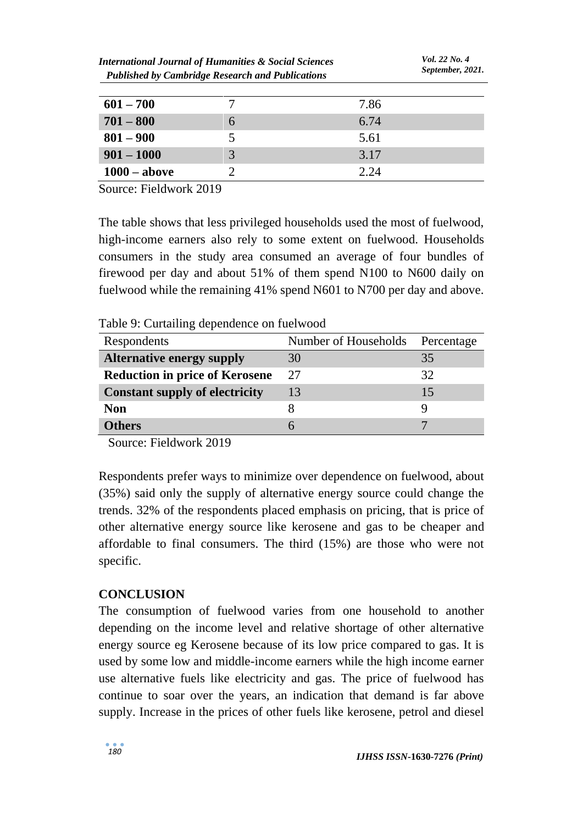| $601 - 700$    |    | 7.86 |
|----------------|----|------|
| $701 - 800$    | n  | 6.74 |
| $801 - 900$    | 5. | 5.61 |
| $901 - 1000$   | 3  | 3.17 |
| $1000 - above$ |    | 2.24 |

Source: Fieldwork 2019

The table shows that less privileged households used the most of fuelwood, high-income earners also rely to some extent on fuelwood. Households consumers in the study area consumed an average of four bundles of firewood per day and about 51% of them spend N100 to N600 daily on fuelwood while the remaining 41% spend N601 to N700 per day and above.

Table 9: Curtailing dependence on fuelwood

| Respondents                           | Number of Households | Percentage |
|---------------------------------------|----------------------|------------|
| <b>Alternative energy supply</b>      | 30                   | 35         |
| <b>Reduction in price of Kerosene</b> | 27                   | 32         |
| <b>Constant supply of electricity</b> | 13                   | 15         |
| <b>Non</b>                            |                      |            |
| Others                                |                      |            |

Source: Fieldwork 2019

Respondents prefer ways to minimize over dependence on fuelwood, about (35%) said only the supply of alternative energy source could change the trends. 32% of the respondents placed emphasis on pricing, that is price of other alternative energy source like kerosene and gas to be cheaper and affordable to final consumers. The third (15%) are those who were not specific.

# **CONCLUSION**

The consumption of fuelwood varies from one household to another depending on the income level and relative shortage of other alternative energy source eg Kerosene because of its low price compared to gas. It is used by some low and middle-income earners while the high income earner use alternative fuels like electricity and gas. The price of fuelwood has continue to soar over the years, an indication that demand is far above supply. Increase in the prices of other fuels like kerosene, petrol and diesel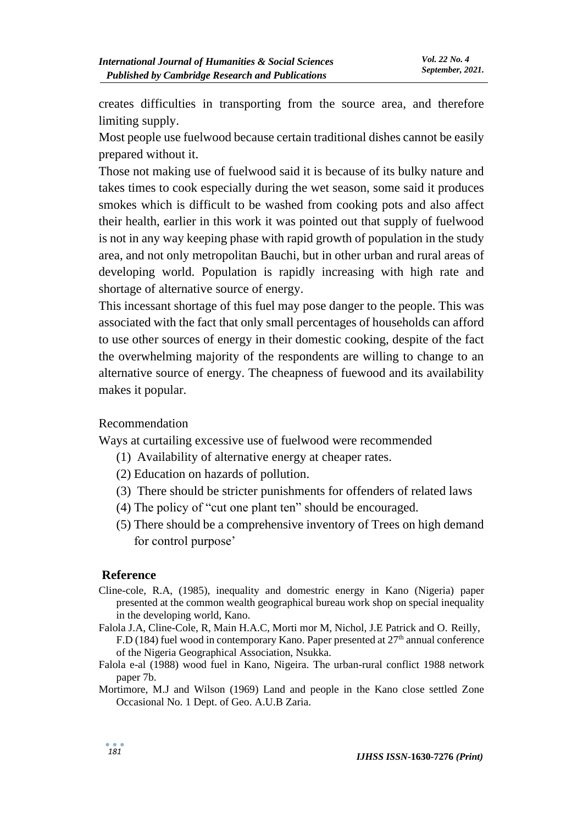creates difficulties in transporting from the source area, and therefore limiting supply.

Most people use fuelwood because certain traditional dishes cannot be easily prepared without it.

Those not making use of fuelwood said it is because of its bulky nature and takes times to cook especially during the wet season, some said it produces smokes which is difficult to be washed from cooking pots and also affect their health, earlier in this work it was pointed out that supply of fuelwood is not in any way keeping phase with rapid growth of population in the study area, and not only metropolitan Bauchi, but in other urban and rural areas of developing world. Population is rapidly increasing with high rate and shortage of alternative source of energy.

This incessant shortage of this fuel may pose danger to the people. This was associated with the fact that only small percentages of households can afford to use other sources of energy in their domestic cooking, despite of the fact the overwhelming majority of the respondents are willing to change to an alternative source of energy. The cheapness of fuewood and its availability makes it popular.

#### Recommendation

Ways at curtailing excessive use of fuelwood were recommended

- (1) Availability of alternative energy at cheaper rates.
- (2) Education on hazards of pollution.
- (3) There should be stricter punishments for offenders of related laws
- (4) The policy of "cut one plant ten" should be encouraged.
- (5) There should be a comprehensive inventory of Trees on high demand for control purpose'

#### **Reference**

- Cline-cole, R.A, (1985), inequality and domestric energy in Kano (Nigeria) paper presented at the common wealth geographical bureau work shop on special inequality in the developing world, Kano.
- Falola J.A, Cline-Cole, R, Main H.A.C, Morti mor M, Nichol, J.E Patrick and O. Reilly, F.D (184) fuel wood in contemporary Kano. Paper presented at  $27<sup>th</sup>$  annual conference of the Nigeria Geographical Association, Nsukka.
- Falola e-al (1988) wood fuel in Kano, Nigeira. The urban-rural conflict 1988 network paper 7b.
- Mortimore, M.J and Wilson (1969) Land and people in the Kano close settled Zone Occasional No. 1 Dept. of Geo. A.U.B Zaria.